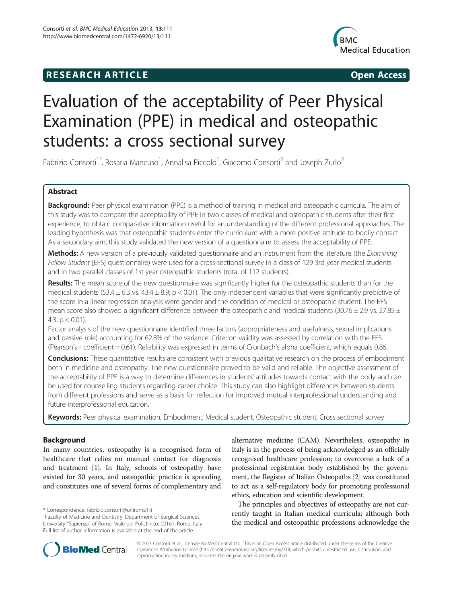# **RESEARCH ARTICLE Example 2018 12:00 Open Access**



# Evaluation of the acceptability of Peer Physical Examination (PPE) in medical and osteopathic students: a cross sectional survey

Fabrizio Consorti<sup>1\*</sup>, Rosaria Mancuso<sup>1</sup>, Annalisa Piccolo<sup>1</sup>, Giacomo Consorti<sup>2</sup> and Joseph Zurlo<sup>2</sup>

# Abstract

Background: Peer physical examination (PPE) is a method of training in medical and osteopathic curricula. The aim of this study was to compare the acceptability of PPE in two classes of medical and osteopathic students after their first experience, to obtain comparative information useful for an understanding of the different professional approaches. The leading hypothesis was that osteopathic students enter the curriculum with a more positive attitude to bodily contact. As a secondary aim, this study validated the new version of a questionnaire to assess the acceptability of PPE.

Methods: A new version of a previously validated questionnaire and an instrument from the literature (the Examining Fellow Student [EFS] questionnaire) were used for a cross-sectional survey in a class of 129 3rd year medical students and in two parallel classes of 1st year osteopathic students (total of 112 students).

Results: The mean score of the new questionnaire was significantly higher for the osteopathic students than for the medical students (53.4  $\pm$  6.3 vs. 43.4  $\pm$  8.9; p < 0.01). The only independent variables that were significantly predictive of the score in a linear regression analysis were gender and the condition of medical or osteopathic student. The EFS mean score also showed a significant difference between the osteopathic and medical students (30.76  $\pm$  2.9 vs. 27.85  $\pm$ 4.3;  $p < 0.01$ ).

Factor analysis of the new questionnaire identified three factors (appropriateness and usefulness, sexual implications and passive role) accounting for 62.8% of the variance. Criterion validity was assessed by correlation with the EFS (Pearson's r coefficient = 0.61). Reliability was expressed in terms of Cronbach's alpha coefficient, which equals 0.86.

Conclusions: These quantitative results are consistent with previous qualitative research on the process of embodiment both in medicine and osteopathy. The new questionnaire proved to be valid and reliable. The objective assessment of the acceptability of PPE is a way to determine differences in students' attitudes towards contact with the body and can be used for counselling students regarding career choice. This study can also highlight differences between students from different professions and serve as a basis for reflection for improved mutual interprofessional understanding and future interprofessional education.

Keywords: Peer physical examination, Embodiment, Medical student, Osteopathic student, Cross sectional survey

# Background

In many countries, osteopathy is a recognised form of healthcare that relies on manual contact for diagnosis and treatment [[1](#page-7-0)]. In Italy, schools of osteopathy have existed for 30 years, and osteopathic practice is spreading and constitutes one of several forms of complementary and

alternative medicine (CAM). Nevertheless, osteopathy in Italy is in the process of being acknowledged as an officially recognised healthcare profession; to overcome a lack of a professional registration body established by the government, the Register of Italian Osteopaths [\[2\]](#page-7-0) was constituted to act as a self-regulatory body for promoting professional ethics, education and scientific development.

The principles and objectives of osteopathy are not currently taught in Italian medical curricula; although both the medical and osteopathic professions acknowledge the



© 2013 Consorti et al.; licensee BioMed Central Ltd. This is an Open Access article distributed under the terms of the Creative Commons Attribution License [\(http://creativecommons.org/licenses/by/2.0\)](http://creativecommons.org/licenses/by/2.0), which permits unrestricted use, distribution, and reproduction in any medium, provided the original work is properly cited.

<sup>\*</sup> Correspondence: [fabrizio.consorti@uniroma1.it](mailto:fabrizio.consorti@uniroma1.it) <sup>1</sup>

<sup>&</sup>lt;sup>1</sup> Faculty of Medicine and Dentistry, Department of Surgical Sciences, University "Sapienza" of Rome, Viale del Policlinico, 00161, Rome, Italy Full list of author information is available at the end of the article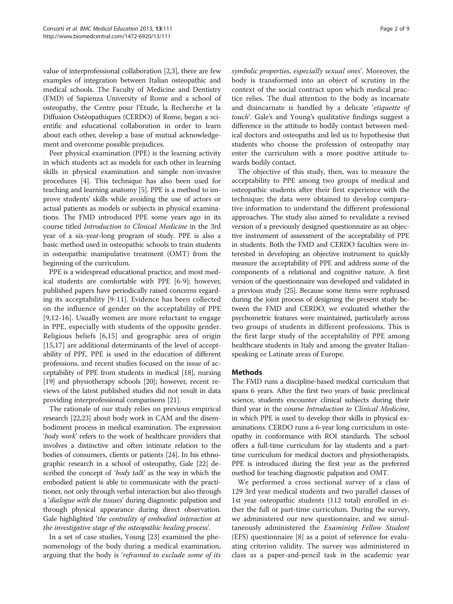value of interprofessional collaboration [[2,3](#page-7-0)], there are few examples of integration between Italian osteopathic and medical schools. The Faculty of Medicine and Dentistry (FMD) of Sapienza University of Rome and a school of osteopathy, the Centre pour l'Etude, la Recherche et la Diffusion Ostéopathiques (CERDO) of Rome, began a scientific and educational collaboration in order to learn about each other, develop a base of mutual acknowledgement and overcome possible prejudices.

Peer physical examination (PPE) is the learning activity in which students act as models for each other in learning skills in physical examination and simple non-invasive procedures [\[4](#page-7-0)]. This technique has also been used for teaching and learning anatomy [\[5](#page-7-0)]. PPE is a method to improve students' skills while avoiding the use of actors or actual patients as models or subjects in physical examinations. The FMD introduced PPE some years ago in its course titled Introduction to Clinical Medicine in the 3rd year of a six-year-long program of study. PPE is also a basic method used in osteopathic schools to train students in osteopathic manipulative treatment (OMT) from the beginning of the curriculum.

PPE is a widespread educational practice, and most medical students are comfortable with PPE [\[6-9](#page-7-0)]; however, published papers have periodically raised concerns regarding its acceptability [[9-11](#page-7-0)]. Evidence has been collected on the influence of gender on the acceptability of PPE [[9,12](#page-7-0)-[16\]](#page-7-0). Usually women are more reluctant to engage in PPE, especially with students of the opposite gender. Religious beliefs [\[6,15](#page-7-0)] and geographic area of origin [[15,17](#page-7-0)] are additional determinants of the level of acceptability of PPE. PPE is used in the education of different professions, and recent studies focused on the issue of acceptability of PPE from students in medical [[18](#page-7-0)], nursing [[19](#page-7-0)] and physiotherapy schools [\[20\]](#page-7-0); however, recent reviews of the latest published studies did not result in data providing interprofessional comparisons [\[21\]](#page-7-0).

The rationale of our study relies on previous empirical research [[22,23\]](#page-7-0) about body work in CAM and the disembodiment process in medical examination. The expression 'body work' refers to the work of healthcare providers that involves a distinctive and often intimate relation to the bodies of consumers, clients or patients [\[24](#page-7-0)]. In his ethnographic research in a school of osteopathy, Gale [\[22\]](#page-7-0) described the concept of 'body talk' as the way in which the embodied patient is able to communicate with the practitioner, not only through verbal interaction but also through a 'dialogue with the tissues' during diagnostic palpation and through physical appearance during direct observation. Gale highlighted 'the centrality of embodied interaction at the investigative stage of the osteopathic healing process'.

In a set of case studies, Young [\[23\]](#page-7-0) examined the phenomenology of the body during a medical examination, arguing that the body is 'reframed to exclude some of its symbolic properties, especially sexual ones'. Moreover, the body is transformed into an object of scrutiny in the context of the social contract upon which medical practice relies. The dual attention to the body as incarnate and disincarnate is handled by a delicate 'etiquette of touch'. Gale's and Young's qualitative findings suggest a difference in the attitude to bodily contact between medical doctors and osteopaths and led us to hypothesise that students who choose the profession of osteopathy may enter the curriculum with a more positive attitude towards bodily contact.

The objective of this study, then, was to measure the acceptability to PPE among two groups of medical and osteopathic students after their first experience with the technique; the data were obtained to develop comparative information to understand the different professional approaches. The study also aimed to revalidate a revised version of a previously designed questionnaire as an objective instrument of assessment of the acceptability of PPE in students. Both the FMD and CERDO faculties were interested in developing an objective instrument to quickly measure the acceptability of PPE and address some of the components of a relational and cognitive nature. A first version of the questionnaire was developed and validated in a previous study [\[25\]](#page-7-0). Because some items were rephrased during the joint process of designing the present study between the FMD and CERDO, we evaluated whether the psychometric features were maintained, particularly across two groups of students in different professions. This is the first large study of the acceptability of PPE among healthcare students in Italy and among the greater Italianspeaking or Latinate areas of Europe.

### **Methods**

The FMD runs a discipline-based medical curriculum that spans 6 years. After the first two years of basic preclinical science, students encounter clinical subjects during their third year in the course Introduction to Clinical Medicine, in which PPE is used to develop their skills in physical examinations. CERDO runs a 6-year long curriculum in osteopathy in conformance with ROI standards. The school offers a full-time curriculum for lay students and a parttime curriculum for medical doctors and physiotherapists. PPE is introduced during the first year as the preferred method for teaching diagnostic palpation and OMT.

We performed a cross sectional survey of a class of 129 3rd year medical students and two parallel classes of 1st year osteopathic students (112 total) enrolled in either the full or part-time curriculum. During the survey, we administered our new questionnaire, and we simultaneously administered the *Examining Fellow Student* (EFS) questionnaire [[8\]](#page-7-0) as a point of reference for evaluating criterion validity. The survey was administered in class as a paper-and-pencil task in the academic year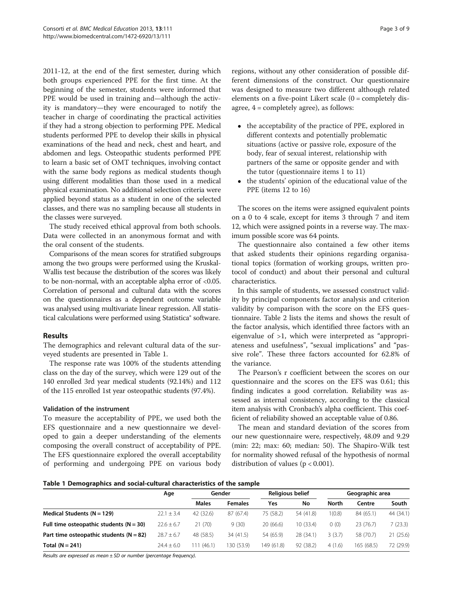2011-12, at the end of the first semester, during which both groups experienced PPE for the first time. At the beginning of the semester, students were informed that PPE would be used in training and—although the activity is mandatory—they were encouraged to notify the teacher in charge of coordinating the practical activities if they had a strong objection to performing PPE. Medical students performed PPE to develop their skills in physical examinations of the head and neck, chest and heart, and abdomen and legs. Osteopathic students performed PPE to learn a basic set of OMT techniques, involving contact with the same body regions as medical students though using different modalities than those used in a medical physical examination. No additional selection criteria were applied beyond status as a student in one of the selected classes, and there was no sampling because all students in the classes were surveyed.

The study received ethical approval from both schools. Data were collected in an anonymous format and with the oral consent of the students.

Comparisons of the mean scores for stratified subgroups among the two groups were performed using the Kruskal-Wallis test because the distribution of the scores was likely to be non-normal, with an acceptable alpha error of <0.05. Correlation of personal and cultural data with the scores on the questionnaires as a dependent outcome variable was analysed using multivariate linear regression. All statistical calculations were performed using Statistica® software.

# Results

The demographics and relevant cultural data of the surveyed students are presented in Table 1.

The response rate was 100% of the students attending class on the day of the survey, which were 129 out of the 140 enrolled 3rd year medical students (92.14%) and 112 of the 115 enrolled 1st year osteopathic students (97.4%).

# Validation of the instrument

To measure the acceptability of PPE, we used both the EFS questionnaire and a new questionnaire we developed to gain a deeper understanding of the elements composing the overall construct of acceptability of PPE. The EFS questionnaire explored the overall acceptability of performing and undergoing PPE on various body

regions, without any other consideration of possible different dimensions of the construct. Our questionnaire was designed to measure two different although related elements on a five-point Likert scale (0 = completely disagree, 4 = completely agree), as follows:

- the acceptability of the practice of PPE, explored in different contexts and potentially problematic situations (active or passive role, exposure of the body, fear of sexual interest, relationship with partners of the same or opposite gender and with the tutor (questionnaire items 1 to 11)
- the students' opinion of the educational value of the PPE (items 12 to 16)

The scores on the items were assigned equivalent points on a 0 to 4 scale, except for items 3 through 7 and item 12, which were assigned points in a reverse way. The maximum possible score was 64 points.

The questionnaire also contained a few other items that asked students their opinions regarding organisational topics (formation of working groups, written protocol of conduct) and about their personal and cultural characteristics.

In this sample of students, we assessed construct validity by principal components factor analysis and criterion validity by comparison with the score on the EFS questionnaire. Table [2](#page-3-0) lists the items and shows the result of the factor analysis, which identified three factors with an eigenvalue of >1, which were interpreted as "appropriateness and usefulness", "sexual implications" and "passive role". These three factors accounted for 62.8% of the variance.

The Pearson's r coefficient between the scores on our questionnaire and the scores on the EFS was 0.61; this finding indicates a good correlation. Reliability was assessed as internal consistency, according to the classical item analysis with Cronbach's alpha coefficient. This coefficient of reliability showed an acceptable value of 0.86.

The mean and standard deviation of the scores from our new questionnaire were, respectively, 48.09 and 9.29 (min: 22; max: 60; median: 50). The Shapiro-Wilk test for normality showed refusal of the hypothesis of normal distribution of values ( $p < 0.001$ ).

Table 1 Demographics and social-cultural characteristics of the sample

|                                             | Age            |              | Religious belief<br>Gender |            |           | Geographic area |            |           |
|---------------------------------------------|----------------|--------------|----------------------------|------------|-----------|-----------------|------------|-----------|
|                                             |                | <b>Males</b> | <b>Females</b>             | Yes        | No        | <b>North</b>    | Centre     | South     |
| Medical Students ( $N = 129$ )              | $22.1 \pm 3.4$ | 42 (32.6)    | 87 (67.4)                  | 75 (58.2)  | 54 (41.8) | (0.8)           | 84 (65.1)  | 44 (34.1) |
| Full time osteopathic students ( $N = 30$ ) | $22.6 \pm 6.7$ | 21(70)       | 9(30)                      | 20(66.6)   | 10 (33.4) | 0(0)            | 23 (76.7)  | 7(23.3)   |
| Part time osteopathic students ( $N = 82$ ) | $28.7 \pm 6.7$ | 48 (58.5)    | 34 (41.5)                  | 54 (65.9)  | 28 (34.1) | 3(3.7)          | 58 (70.7)  | 21(25.6)  |
| Total $(N = 241)$                           | $24.4 \pm 6.0$ | 11(46.1)     | 130 (53.9)                 | 149 (61.8) | 92 (38.2) | 4(1.6)          | 165 (68.5) | 72 (29.9) |

Results are expressed as mean  $\pm$  SD or number (percentage frequency).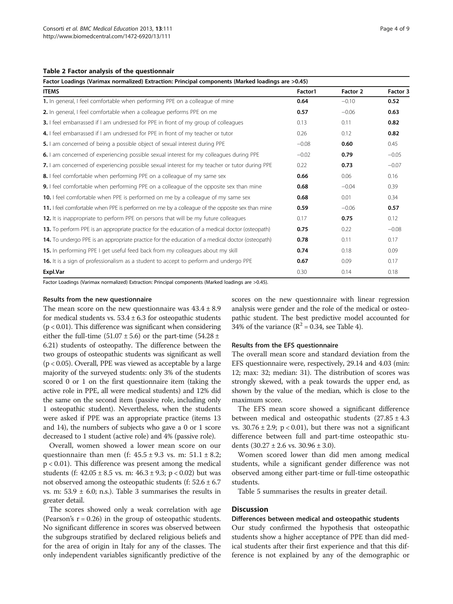#### <span id="page-3-0"></span>Table 2 Factor analysis of the questionnair

| Factor Loadings (Varimax normalized) Extraction: Principal components (Marked loadings are >0.45)      |         |          |          |
|--------------------------------------------------------------------------------------------------------|---------|----------|----------|
| <b>ITEMS</b>                                                                                           | Factor1 | Factor 2 | Factor 3 |
| 1. In general, I feel comfortable when performing PPE on a colleague of mine                           | 0.64    | $-0.10$  | 0.52     |
| 2. In general, I feel comfortable when a colleague performs PPE on me                                  | 0.57    | $-0.06$  | 0.63     |
| <b>3.</b> I feel embarrassed if I am undressed for PPE in front of my group of colleagues              | 0.13    | 0.11     | 0.82     |
| 4. I feel embarrassed if I am undressed for PPE in front of my teacher or tutor                        | 0.26    | 0.12     | 0.82     |
| 5. I am concerned of being a possible object of sexual interest during PPE                             | $-0.08$ | 0.60     | 0.45     |
| 6. I am concerned of experiencing possible sexual interest for my colleagues during PPE                | $-0.02$ | 0.79     | $-0.05$  |
| 7. I am concerned of experiencing possible sexual interest for my teacher or tutor during PPE          | 0.22    | 0.73     | $-0.07$  |
| 8. I feel comfortable when performing PPE on a colleague of my same sex                                | 0.66    | 0.06     | 0.16     |
| <b>9.</b> I feel comfortable when performing PPE on a colleague of the opposite sex than mine          | 0.68    | $-0.04$  | 0.39     |
| <b>10.</b> I feel comfortable when PPE is performed on me by a colleague of my same sex                | 0.68    | 0.01     | 0.34     |
| 11. I feel comfortable when PPE is performed on me by a colleague of the opposite sex than mine        | 0.59    | $-0.06$  | 0.57     |
| <b>12.</b> It is inappropriate to perform PPE on persons that will be my future colleagues             | 0.17    | 0.75     | 0.12     |
| 13. To perform PPE is an appropriate practice for the education of a medical doctor (osteopath)        | 0.75    | 0.22     | $-0.08$  |
| <b>14.</b> To undergo PPE is an appropriate practice for the education of a medical doctor (osteopath) | 0.78    | 0.11     | 0.17     |
| 15. In performing PPE I get useful feed back from my colleagues about my skill                         | 0.74    | 0.18     | 0.09     |
| <b>16.</b> It is a sign of professionalism as a student to accept to perform and undergo PPE           | 0.67    | 0.09     | 0.17     |
| Expl.Var                                                                                               | 0.30    | 0.14     | 0.18     |

Factor Loadings (Varimax normalized) Extraction: Principal components (Marked loadings are >0.45).

#### Results from the new questionnaire

The mean score on the new questionnaire was  $43.4 \pm 8.9$ for medical students vs.  $53.4 \pm 6.3$  for osteopathic students  $(p < 0.01)$ . This difference was significant when considering either the full-time  $(51.07 \pm 5.6)$  or the part-time  $(54.28 \pm 1)$ 6.21) students of osteopathy. The difference between the two groups of osteopathic students was significant as well (p < 0.05). Overall, PPE was viewed as acceptable by a large majority of the surveyed students: only 3% of the students scored 0 or 1 on the first questionnaire item (taking the active role in PPE, all were medical students) and 12% did the same on the second item (passive role, including only 1 osteopathic student). Nevertheless, when the students were asked if PPE was an appropriate practice (items 13 and 14), the numbers of subjects who gave a 0 or 1 score decreased to 1 student (active role) and 4% (passive role).

Overall, women showed a lower mean score on our questionnaire than men (f:  $45.5 \pm 9.3$  vs. m:  $51.1 \pm 8.2$ ; p < 0.01). This difference was present among the medical students (f:  $42.05 \pm 8.5$  vs. m:  $46.3 \pm 9.3$ ; p < 0.02) but was not observed among the osteopathic students (f:  $52.6 \pm 6.7$ ) vs. m:  $53.9 \pm 6.0$ ; n.s.). Table [3](#page-4-0) summarises the results in greater detail.

The scores showed only a weak correlation with age (Pearson's  $r = 0.26$ ) in the group of osteopathic students. No significant difference in scores was observed between the subgroups stratified by declared religious beliefs and for the area of origin in Italy for any of the classes. The only independent variables significantly predictive of the

scores on the new questionnaire with linear regression analysis were gender and the role of the medical or osteopathic student. The best predictive model accounted for 34% of the variance  $(R^2 = 0.34$ , see Table [4](#page-4-0)).

#### Results from the EFS questionnaire

The overall mean score and standard deviation from the EFS questionnaire were, respectively, 29.14 and 4.03 (min: 12; max: 32; median: 31). The distribution of scores was strongly skewed, with a peak towards the upper end, as shown by the value of the median, which is close to the maximum score.

The EFS mean score showed a significant difference between medical and osteopathic students  $(27.85 \pm 4.3)$ vs.  $30.76 \pm 2.9$ ; p < 0.01), but there was not a significant difference between full and part-time osteopathic students  $(30.27 \pm 2.6 \text{ vs. } 30.96 \pm 3.0).$ 

Women scored lower than did men among medical students, while a significant gender difference was not observed among either part-time or full-time osteopathic students.

Table [5](#page-5-0) summarises the results in greater detail.

# **Discussion**

#### Differences between medical and osteopathic students

Our study confirmed the hypothesis that osteopathic students show a higher acceptance of PPE than did medical students after their first experience and that this difference is not explained by any of the demographic or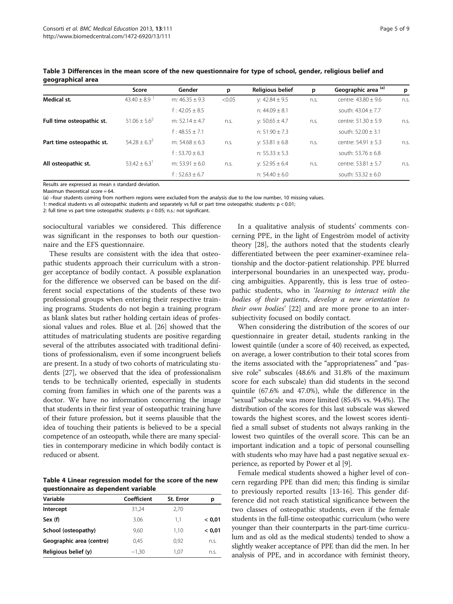|                           | Score                        | Gender             | p      | <b>Religious belief</b> | р    | Geographic area <sup>(a)</sup> | p    |
|---------------------------|------------------------------|--------------------|--------|-------------------------|------|--------------------------------|------|
| Medical st.               | $43.40 \pm 8.9$              | m: $46.35 \pm 9.3$ | < 0.05 | v: $42.84 \pm 9.5$      | n.s. | centre: $43.80 \pm 9.6$        | n.s. |
|                           |                              | $f: 42.05 \pm 8.5$ |        | n: $44.09 \pm 8.1$      |      | south: $43.04 \pm 7.7$         |      |
| Full time osteopathic st. | $51.06 + 5.6^2$              | m: $52.14 + 4.7$   | n.S.   | v: $50.65 \pm 4.7$      | n.S. | centre: $51.30 + 5.9$          | n.S. |
|                           |                              | $f: 48.55 \pm 7.1$ |        | n: $51.90 \pm 7.3$      |      | south: $52.00 \pm 3.1$         |      |
| Part time osteopathic st. | $54.28 + 6.3^2$              | m: $54.68 + 6.3$   | n.S.   | v: 53.81 $\pm$ 6.8      | n.s. | centre: $54.91 \pm 5.3$        | n.S. |
|                           |                              | $f: 53.70 \pm 6.3$ |        | n: $55.33 \pm 5.3$      |      | south: $53.76 \pm 6.8$         |      |
| All osteopathic st.       | $53.42 \pm 6.3$ <sup>1</sup> | m: $53.91 + 6.0$   | n.S.   | v: $52.95 \pm 6.4$      | n.s. | centre: $53.81 \pm 5.7$        | n.S. |
|                           |                              | f: $52.63 \pm 6.7$ |        | n: $54.40 \pm 6.0$      |      | south: $53.32 \pm 6.0$         |      |

<span id="page-4-0"></span>Table 3 Differences in the mean score of the new questionnaire for type of school, gender, religious belief and geographical area

Results are expressed as mean ± standard deviation.

Maximun theoretical score = 64.

(a) –four students coming from northern regions were excluded from the analysis due to the low number, 10 missing values.

1: medical students vs all osteopathic students and separately vs full or part time osteopathic students:  $p < 0.01$ ;

2: full time vs part time osteopathic students: p < 0.05; n.s.: not significant.

sociocultural variables we considered. This difference was significant in the responses to both our questionnaire and the EFS questionnaire.

These results are consistent with the idea that osteopathic students approach their curriculum with a stronger acceptance of bodily contact. A possible explanation for the difference we observed can be based on the different social expectations of the students of these two professional groups when entering their respective training programs. Students do not begin a training program as blank slates but rather holding certain ideas of professional values and roles. Blue et al. [[26](#page-7-0)] showed that the attitudes of matriculating students are positive regarding several of the attributes associated with traditional definitions of professionalism, even if some incongruent beliefs are present. In a study of two cohorts of matriculating students [[27](#page-7-0)], we observed that the idea of professionalism tends to be technically oriented, especially in students coming from families in which one of the parents was a doctor. We have no information concerning the image that students in their first year of osteopathic training have of their future profession, but it seems plausible that the idea of touching their patients is believed to be a special competence of an osteopath, while there are many specialties in contemporary medicine in which bodily contact is reduced or absent.

Table 4 Linear regression model for the score of the new questionnaire as dependent variable

| Coefficient | St. Error | p      |
|-------------|-----------|--------|
| 31,24       | 2,70      |        |
| 3.06        | 1.1       | < 0.01 |
| 9.60        | 1,10      | < 0.01 |
| 0.45        | 0,92      | n.s.   |
| $-1.30$     | 1.07      | n.s.   |
|             |           |        |

In a qualitative analysis of students' comments concerning PPE, in the light of Engeström model of activity theory [\[28\]](#page-7-0), the authors noted that the students clearly differentiated between the peer examiner-examinee relationship and the doctor-patient relationship. PPE blurred interpersonal boundaries in an unexpected way, producing ambiguities. Apparently, this is less true of osteopathic students, who in 'learning to interact with the bodies of their patients, develop a new orientation to their own bodies' [\[22\]](#page-7-0) and are more prone to an intersubjectivity focused on bodily contact.

When considering the distribution of the scores of our questionnaire in greater detail, students ranking in the lowest quintile (under a score of 40) received, as expected, on average, a lower contribution to their total scores from the items associated with the "appropriateness" and "passive role" subscales (48.6% and 31.8% of the maximum score for each subscale) than did students in the second quintile (67.6% and 47.0%), while the difference in the "sexual" subscale was more limited (85.4% vs. 94.4%). The distribution of the scores for this last subscale was skewed towards the highest scores, and the lowest scores identified a small subset of students not always ranking in the lowest two quintiles of the overall score. This can be an important indication and a topic of personal counselling with students who may have had a past negative sexual experience, as reported by Power et al [\[9\]](#page-7-0).

Female medical students showed a higher level of concern regarding PPE than did men; this finding is similar to previously reported results [[13-16](#page-7-0)]. This gender difference did not reach statistical significance between the two classes of osteopathic students, even if the female students in the full-time osteopathic curriculum (who were younger than their counterparts in the part-time curriculum and as old as the medical students) tended to show a slightly weaker acceptance of PPE than did the men. In her analysis of PPE, and in accordance with feminist theory,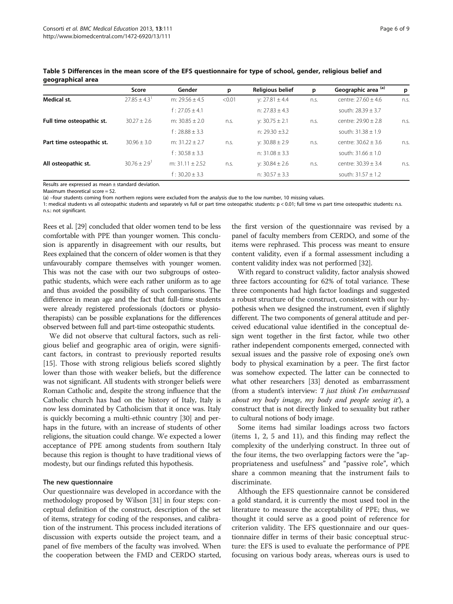|                           | Score                        | Gender             | p      | <b>Religious belief</b> | р    | Geographic area (a)     | p    |
|---------------------------|------------------------------|--------------------|--------|-------------------------|------|-------------------------|------|
| Medical st.               | $27.85 + 4.3$                | m: $29.56 \pm 4.5$ | < 0.01 | y: $27.81 \pm 4.4$      | n.S. | centre: $27.60 \pm 4.6$ | n.s. |
|                           |                              | $f: 27.05 \pm 4.1$ |        | n: $27.83 \pm 4.3$      |      | south: $28.39 \pm 3.7$  |      |
| Full time osteopathic st. | $30.27 + 2.6$                | m: $30.85 + 2.0$   | n.s.   | $y: 30.75 \pm 2.1$      | n.s. | centre: 29.90 + 2.8     | n.s. |
|                           |                              | $f: 28.88 \pm 3.3$ |        | n: 29.30 $\pm$ 3.2      |      | south: $31.38 \pm 1.9$  |      |
| Part time osteopathic st. | $30.96 + 3.0$                | m: $31.22 + 2.7$   | n.S.   | v: $30.88 \pm 2.9$      | n.s. | centre: $30.62 \pm 3.6$ | n.S. |
|                           |                              | $f: 30.58 \pm 3.3$ |        | n: $31.08 \pm 3.3$      |      | south: $31.66 \pm 1.0$  |      |
| All osteopathic st.       | $30.76 \pm 2.9$ <sup>1</sup> | m: $31.11 + 2.52$  | n.s.   | y: $30.84 \pm 2.6$      | n.s. | centre: $30.39 \pm 3.4$ | n.s. |
|                           |                              | $f: 30.20 + 3.3$   |        | n: $30.57 \pm 3.3$      |      | south: $31.57 \pm 1.2$  |      |

<span id="page-5-0"></span>Table 5 Differences in the mean score of the EFS questionnaire for type of school, gender, religious belief and geographical area

Results are expressed as mean ± standard deviation.

Maximum theoretical score = 52.

(a) –four students coming from northern regions were excluded from the analysis due to the low number, 10 missing values.

1: medical students vs all osteopathic students and separately vs full or part time osteopathic students: p < 0.01; full time vs part time osteopathic students: n.s. n.s.: not significant.

Rees et al. [[29](#page-7-0)] concluded that older women tend to be less comfortable with PPE than younger women. This conclusion is apparently in disagreement with our results, but Rees explained that the concern of older women is that they unfavourably compare themselves with younger women. This was not the case with our two subgroups of osteopathic students, which were each rather uniform as to age and thus avoided the possibility of such comparisons. The difference in mean age and the fact that full-time students were already registered professionals (doctors or physiotherapists) can be possible explanations for the differences observed between full and part-time osteopathic students.

We did not observe that cultural factors, such as religious belief and geographic area of origin, were significant factors, in contrast to previously reported results [[15\]](#page-7-0). Those with strong religious beliefs scored slightly lower than those with weaker beliefs, but the difference was not significant. All students with stronger beliefs were Roman Catholic and, despite the strong influence that the Catholic church has had on the history of Italy, Italy is now less dominated by Catholicism that it once was. Italy is quickly becoming a multi-ethnic country [[30](#page-7-0)] and perhaps in the future, with an increase of students of other religions, the situation could change. We expected a lower acceptance of PPE among students from southern Italy because this region is thought to have traditional views of modesty, but our findings refuted this hypothesis.

### The new questionnaire

Our questionnaire was developed in accordance with the methodology proposed by Wilson [\[31\]](#page-7-0) in four steps: conceptual definition of the construct, description of the set of items, strategy for coding of the responses, and calibration of the instrument. This process included iterations of discussion with experts outside the project team, and a panel of five members of the faculty was involved. When the cooperation between the FMD and CERDO started, the first version of the questionnaire was revised by a panel of faculty members from CERDO, and some of the items were rephrased. This process was meant to ensure content validity, even if a formal assessment including a content validity index was not performed [\[32\]](#page-8-0).

With regard to construct validity, factor analysis showed three factors accounting for 62% of total variance. These three components had high factor loadings and suggested a robust structure of the construct, consistent with our hypothesis when we designed the instrument, even if slightly different. The two components of general attitude and perceived educational value identified in the conceptual design went together in the first factor, while two other rather independent components emerged, connected with sexual issues and the passive role of exposing one's own body to physical examination by a peer. The first factor was somehow expected. The latter can be connected to what other researchers [[33](#page-8-0)] denoted as embarrassment (from a student's interview: 'I just think I'm embarrassed about my body image, my body and people seeing it'), a construct that is not directly linked to sexuality but rather to cultural notions of body image.

Some items had similar loadings across two factors (items 1, 2, 5 and 11), and this finding may reflect the complexity of the underlying construct. In three out of the four items, the two overlapping factors were the "appropriateness and usefulness" and "passive role", which share a common meaning that the instrument fails to discriminate.

Although the EFS questionnaire cannot be considered a gold standard, it is currently the most used tool in the literature to measure the acceptability of PPE; thus, we thought it could serve as a good point of reference for criterion validity. The EFS questionnaire and our questionnaire differ in terms of their basic conceptual structure: the EFS is used to evaluate the performance of PPE focusing on various body areas, whereas ours is used to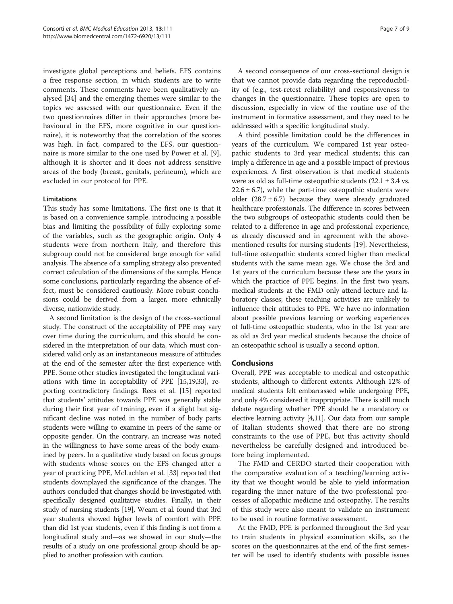investigate global perceptions and beliefs. EFS contains a free response section, in which students are to write comments. These comments have been qualitatively analysed [[34\]](#page-8-0) and the emerging themes were similar to the topics we assessed with our questionnaire. Even if the two questionnaires differ in their approaches (more behavioural in the EFS, more cognitive in our questionnaire), it is noteworthy that the correlation of the scores was high. In fact, compared to the EFS, our questionnaire is more similar to the one used by Power et al. [\[9](#page-7-0)], although it is shorter and it does not address sensitive areas of the body (breast, genitals, perineum), which are excluded in our protocol for PPE.

### Limitations

This study has some limitations. The first one is that it is based on a convenience sample, introducing a possible bias and limiting the possibility of fully exploring some of the variables, such as the geographic origin. Only 4 students were from northern Italy, and therefore this subgroup could not be considered large enough for valid analysis. The absence of a sampling strategy also prevented correct calculation of the dimensions of the sample. Hence some conclusions, particularly regarding the absence of effect, must be considered cautiously. More robust conclusions could be derived from a larger, more ethnically diverse, nationwide study.

A second limitation is the design of the cross-sectional study. The construct of the acceptability of PPE may vary over time during the curriculum, and this should be considered in the interpretation of our data, which must considered valid only as an instantaneous measure of attitudes at the end of the semester after the first experience with PPE. Some other studies investigated the longitudinal variations with time in acceptability of PPE [\[15,19](#page-7-0)[,33\]](#page-8-0), reporting contradictory findings. Rees et al. [\[15\]](#page-7-0) reported that students' attitudes towards PPE was generally stable during their first year of training, even if a slight but significant decline was noted in the number of body parts students were willing to examine in peers of the same or opposite gender. On the contrary, an increase was noted in the willingness to have some areas of the body examined by peers. In a qualitative study based on focus groups with students whose scores on the EFS changed after a year of practicing PPE, McLachlan et al. [[33](#page-8-0)] reported that students downplayed the significance of the changes. The authors concluded that changes should be investigated with specifically designed qualitative studies. Finally, in their study of nursing students [\[19\]](#page-7-0), Wearn et al. found that 3rd year students showed higher levels of comfort with PPE than did 1st year students, even if this finding is not from a longitudinal study and—as we showed in our study—the results of a study on one professional group should be applied to another profession with caution.

A second consequence of our cross-sectional design is that we cannot provide data regarding the reproducibility of (e.g., test-retest reliability) and responsiveness to changes in the questionnaire. These topics are open to discussion, especially in view of the routine use of the instrument in formative assessment, and they need to be addressed with a specific longitudinal study.

A third possible limitation could be the differences in years of the curriculum. We compared 1st year osteopathic students to 3rd year medical students; this can imply a difference in age and a possible impact of previous experiences. A first observation is that medical students were as old as full-time osteopathic students  $(22.1 \pm 3.4 \text{ vs.})$  $22.6 \pm 6.7$ , while the part-time osteopathic students were older  $(28.7 \pm 6.7)$  because they were already graduated healthcare professionals. The difference in scores between the two subgroups of osteopathic students could then be related to a difference in age and professional experience, as already discussed and in agreement with the abovementioned results for nursing students [[19](#page-7-0)]. Nevertheless, full-time osteopathic students scored higher than medical students with the same mean age. We chose the 3rd and 1st years of the curriculum because these are the years in which the practice of PPE begins. In the first two years, medical students at the FMD only attend lecture and laboratory classes; these teaching activities are unlikely to influence their attitudes to PPE. We have no information about possible previous learning or working experiences of full-time osteopathic students, who in the 1st year are as old as 3rd year medical students because the choice of an osteopathic school is usually a second option.

# Conclusions

Overall, PPE was acceptable to medical and osteopathic students, although to different extents. Although 12% of medical students felt embarrassed while undergoing PPE, and only 4% considered it inappropriate. There is still much debate regarding whether PPE should be a mandatory or elective learning activity [[4,11\]](#page-7-0). Our data from our sample of Italian students showed that there are no strong constraints to the use of PPE, but this activity should nevertheless be carefully designed and introduced before being implemented.

The FMD and CERDO started their cooperation with the comparative evaluation of a teaching/learning activity that we thought would be able to yield information regarding the inner nature of the two professional processes of allopathic medicine and osteopathy. The results of this study were also meant to validate an instrument to be used in routine formative assessment.

At the FMD, PPE is performed throughout the 3rd year to train students in physical examination skills, so the scores on the questionnaires at the end of the first semester will be used to identify students with possible issues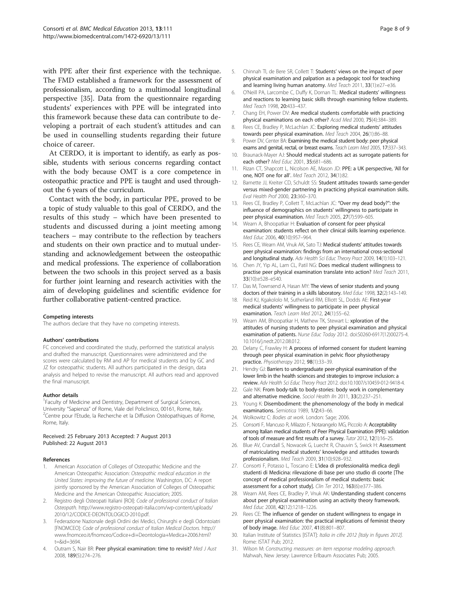<span id="page-7-0"></span>with PPE after their first experience with the technique. The FMD established a framework for the assessment of professionalism, according to a multimodal longitudinal perspective [\[35\]](#page-8-0). Data from the questionnaire regarding students' experiences with PPE will be integrated into this framework because these data can contribute to developing a portrait of each student's attitudes and can be used in counselling students regarding their future choice of career.

At CERDO, it is important to identify, as early as possible, students with serious concerns regarding contact with the body because OMT is a core competence in osteopathic practice and PPE is taught and used throughout the 6 years of the curriculum.

Contact with the body, in particular PPE, proved to be a topic of study valuable to this goal of CERDO, and the results of this study – which have been presented to students and discussed during a joint meeting among teachers – may contribute to the reflection by teachers and students on their own practice and to mutual understanding and acknowledgement between the osteopathic and medical professions. The experience of collaboration between the two schools in this project served as a basis for further joint learning and research activities with the aim of developing guidelines and scientific evidence for further collaborative patient-centred practice.

#### Competing interests

The authors declare that they have no competing interests.

#### Authors' contributions

FC conceived and coordinated the study, performed the statistical analysis and drafted the manuscript. Questionnaires were administered and the scores were calculated by RM and AP for medical students and by GC and JZ for osteopathic students. All authors participated in the design, data analysis and helped to revise the manuscript. All authors read and approved the final manuscript.

#### Author details

<sup>1</sup> Faculty of Medicine and Dentistry, Department of Surgical Sciences, University "Sapienza" of Rome, Viale del Policlinico, 00161, Rome, Italy. <sup>2</sup> <sup>2</sup> Centre pour l'Etude, la Recherche et la Diffusion Ostéopathiques of Rome, Rome, Italy.

#### Received: 25 February 2013 Accepted: 7 August 2013 Published: 22 August 2013

#### References

- 1. American Association of Colleges of Osteopathic Medicine and the American Osteopathic Association: Osteopathic medical education in the United States: improving the future of medicine. Washington, DC: A report jointly sponsored by the American Association of Colleges of Osteopathic Medicine and the American Osteopathic Association; 2005.
- 2. Registro degli Osteopati Italiani [ROI]: Code of professional conduct of Italian Osteopath. [http://www.registro-osteopati-italia.com/wp-content/uploads/](http://www.registro-osteopati-italia.com/wp-content/uploads/2010/12/CODICE-DEONTOLOGICO-2010.pdf) [2010/12/CODICE-DEONTOLOGICO-2010.pdf](http://www.registro-osteopati-italia.com/wp-content/uploads/2010/12/CODICE-DEONTOLOGICO-2010.pdf).
- 3. Federazione Nazionale degli Ordini dei Medici, Chirurghi e degli Odontoiatri [FNOMCEO]: Code of professional conduct of Italian Medical Doctors. [http://](http://www.fnomceo.it/fnomceo/Codice+di+Deontologia+Medica+2006.html?t=&id=3694) [www.fnomceo.it/fnomceo/Codice+di+Deontologia+Medica+2006.html?](http://www.fnomceo.it/fnomceo/Codice+di+Deontologia+Medica+2006.html?t=&id=3694) [t=&id=3694](http://www.fnomceo.it/fnomceo/Codice+di+Deontologia+Medica+2006.html?t=&id=3694).
- 4. Outram S, Nair BR: Peer physical examination: time to revisit? Med J Aust 2008, 189(5):274–276.
- 5. Chinnah TI, de Bere SR, Collett T: Students' views on the impact of peer physical examination and palpation as a pedagogic tool for teaching and learning living human anatomy. Med Teach 2011, 33(1):e27–e36.
- 6. O'Neill PA, Larcombe C, Duffy K, Dornan TL: Medical students' willingness and reactions to learning basic skills through examining fellow students. Med Teach 1998, 20:433–437.
- 7. Chang EH, Power DV: Are medical students comfortable with practicing physical examinations on each other? Acad Med 2000, 75(4):384–389.
- 8. Rees CE, Bradley P, McLachlan JC: Exploring medical students' attitudes towards peer physical examination. Med Teach 2004, 26(1):86–88.
- 9. Power DV, Center BA: Examining the medical student body: peer physical exams and genital, rectal, or breast exams. Teach Learn Med 2005, 17:337-343.
- 10. Braunack-Mayer AJ: Should medical students act as surrogate patients for each other? Med Educ 2001, 35:681–686.
- 11. Rizan CT, Shapcott L, Nicolson AE, Mason JD: PPE: a UK perspective, 'All for one, NOT one for all'. Med Teach 2012, 34(1):82.
- 12. Barnette JJ, Kreiter CD, Schuldt SS: Student attitudes towards same-gender versus mixed-gender partnering in practicing physical examination skills. Eval Health Prof 2000, 23:360–370.
- 13. Rees CE, Bradley P, Collett T, McLachlan JC: "Over my dead body?": the influence of demographics on students' willingness to participate in peer physical examination. Med Teach 2005, 27(7):599-605.
- 14. Wearn A, Bhoopatkar H: Evaluation of consent for peer physical examination: students reflect on their clinical skills learning experience. Med Educ 2006, 40(10):957–964.
- 15. Rees CE, Wearn AM, Vnuk AK, Sato TJ: Medical students' attitudes towards peer physical examination: findings from an international cross-sectional and longitudinal study. Adv Health Sci Educ Theory Pract 2009, 14(1):103–121.
- 16. Chen JY, Yip AL, Lam CL, Patil NG: Does medical student willingness to practise peer physical examination translate into action? Med Teach 2011, 33(10):e528–e540.
- 17. Das M, Townsend A, Hasan MY: The views of senior students and young doctors of their training in a skills laboratory. Med Educ 1998, 32(2):143–149.
- 18. Reid KJ, Kgakololo M, Sutherland RM, Elliott SL, Dodds AE: First-year medical students' willingness to participate in peer physical examination. Teach Learn Med 2012, 24(1):55–62.
- 19. Wearn AM, Bhoopatkar H, Mathew TK, Stewart L: xploration of the attitudes of nursing students to peer physical examination and physical examination of patients. Nurse Educ Today 2012. doi:[S0260-6917\(12\)00275-4.](http://dx.doi.org/S0260-6917(12)00275-4.%2010.1016/j.nedt.2012.08.012) [10.1016/j.nedt.2012.08.012.](http://dx.doi.org/S0260-6917(12)00275-4.%2010.1016/j.nedt.2012.08.012)
- 20. Delany C, Frawley H: A process of informed consent for student learning through peer physical examination in pelvic floor physiotherapy practice. Physiotherapy 2012, 98(1):33–39.
- 21. Hendry GJ: Barriers to undergraduate peer-physical examination of the lower limb in the health sciences and strategies to improve inclusion: a review. Adv Health Sci Educ Theory Pract 2012. doi:[10.1007/s10459-012-9418-4](http://dx.doi.org/10.1007/s10459-012-9418-4).
- 22. Gale NK: From body-talk to body-stories: body work in complementary and alternative medicine. Sociol Health Iln 2011, 33(2):237–251.
- 23. Young K: Disembodiment: the phenomenology of the body in medical examinations. Semiotica 1989, 1/2:43–66.
- 24. Wolkowitz C: Bodies at work. London: Sage; 2006.
- 25. Consorti F, Mancuso R, Milazzo F, Notarangelo MG, Piccolo A: Acceptability among Italian medical students of Peer Physical Examination (PPE): validation of tools of measure and first results of a survey. Tutor 2012, 12(1):16–25.
- 26. Blue AV, Crandall S, Nowacek G, Luecht R, Chauvin S, Swick H: Assessment of matriculating medical students' knowledge and attitudes towards professionalism. Med Teach 2009, 31(10):928–932.
- 27. Consorti F, Potasso L, Toscano E: L'idea di professionalità medica degli studenti di Medicina: rilevazione di base per uno studio di coorte [The concept of medical professionalism of medical students: basic assessment for a cohort study]. Clin Ter 2012, 163(6):e377–386.
- 28. Wearn AM, Rees CE, Bradley P, Vnuk AK: Understanding student concerns about peer physical examination using an activity theory framework. Med Educ 2008, 42(12):1218–1226.
- 29. Rees CE: The influence of gender on student willingness to engage in peer physical examination: the practical implications of feminist theory of body image. Med Educ 2007, 41(8):801–807.
- 30. Italian Institute of Statistics [ISTAT]: Italia in cifre 2012 [Italy in figures 2012]. Rome: ISTAT Pub; 2012.
- 31. Wilson M: Constructing measures: an item response modeling approach. Mahwah, New Jersey: Lawrence Erlbaum Associates Pub; 2005.